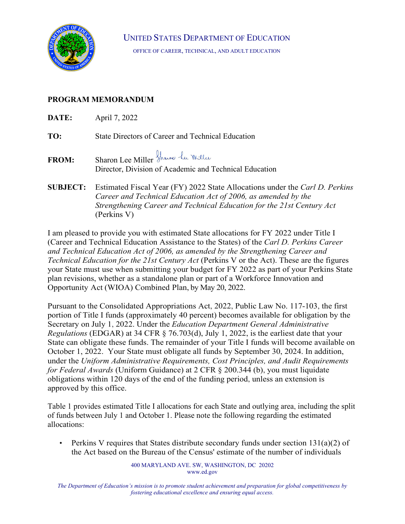

UNITED STATES DEPARTMENT OF EDUCATION

OFFICE OF CAREER, TECHNICAL, AND ADULT EDUCATION

## **PROGRAM MEMORANDUM**

| DATE:           | April 7, 2022                                                                                                                                |
|-----------------|----------------------------------------------------------------------------------------------------------------------------------------------|
| TO:             | State Directors of Career and Technical Education                                                                                            |
| <b>FROM:</b>    | Sharon Lee Miller Shaw le Willer<br>Director, Division of Academic and Technical Education                                                   |
| <b>SUBJECT:</b> | Estimated Fiscal Year (FY) 2022 State Allocations under the Carl D. Perkins<br>Career and Technical Education Act of 2006, as amended by the |

*Strengthening Career and Technical Education for the 21st Century Act*  (Perkins V) I am pleased to provide you with estimated State allocations for FY 2022 under Title I

(Career and Technical Education Assistance to the States) of the *Carl D. Perkins Career and Technical Education Act of 2006, as amended by the Strengthening Career and Technical Education for the 21st Century Act (Perkins V or the Act). These are the figures* your State must use when submitting your budget for FY 2022 as part of your Perkins State plan revisions, whether as a standalone plan or part of a Workforce Innovation and Opportunity Act (WIOA) Combined Plan, by May 20, 2022.

Pursuant to the Consolidated Appropriations Act, 2022, Public Law No. 117-103, the first portion of Title I funds (approximately 40 percent) becomes available for obligation by the Secretary on July 1, 2022. Under the *Education Department General Administrative Regulations* (EDGAR) at 34 CFR § 76.703(d), July 1, 2022, is the earliest date that your State can obligate these funds. The remainder of your Title I funds will become available on October 1, 2022. Your State must obligate all funds by September 30, 2024. In addition, under the *Uniform Administrative Requirements, Cost Principles, and Audit Requirements for Federal Awards* (Uniform Guidance) at 2 CFR § 200.344 (b), you must liquidate obligations within 120 days of the end of the funding period, unless an extension is approved by this office.

Table 1 provides estimated Title I allocations for each State and outlying area, including the split of funds between July 1 and October 1. Please note the following regarding the estimated allocations:

• Perkins V requires that States distribute secondary funds under section  $131(a)(2)$  of the Act based on the Bureau of the Census' estimate of the number of individuals

> 400 MARYLAND AVE. SW, WASHINGTON, DC 20202 [www.ed.gov](http://www.ed.gov/)

*The Department of Education's mission is to promote student achievement and preparation for global competitiveness by fostering educational excellence and ensuring equal access.*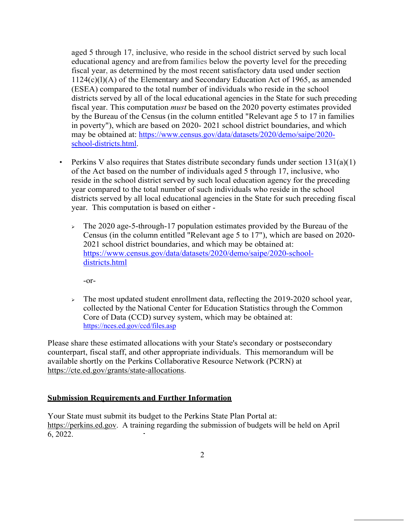aged 5 through 17, inclusive, who reside in the school district served by such local educational agency and are from families below the poverty level for the preceding fiscal year, as determined by the most recent satisfactory data used under section 1124(c)(l)(A) of the Elementary and Secondary Education Act of 1965, as amended (ESEA) compared to the total number of individuals who reside in the school districts served by all of the local educational agencies in the State for such preceding fiscal year. This computation *must* be based on the 2020 poverty estimates provided by the Bureau of the Census (in the column entitled "Relevant age 5 to 17 in families in poverty"), which are based on 2020- 2021 school district boundaries, and which may be obtained at: [https://www.census.gov/data/datasets/2020/demo/saipe/2020](https://www.census.gov/data/datasets/2020/demo/saipe/2020-school-districts.html) [school-districts.html.](https://www.census.gov/data/datasets/2020/demo/saipe/2020-school-districts.html)

- Perkins V also requires that States distribute secondary funds under section  $131(a)(1)$ of the Act based on the number of individuals aged 5 through 17, inclusive, who reside in the school district served by such local education agency for the preceding year compared to the total number of such individuals who reside in the school districts served by all local educational agencies in the State for such preceding fiscal year. This computation is based on either -
	- $\geq$  The 2020 age-5-through-17 population estimates provided by the Bureau of the Census (in the column entitled "Relevant age 5 to 17"), which are based on 2020- 2021 school district boundaries, and which may be obtained at: [https://www.census.gov/data/datasets/2020/demo/saipe/2020-school](https://www.census.gov/data/datasets/2020/demo/saipe/2020-school-districts.html)[districts.html](https://www.census.gov/data/datasets/2020/demo/saipe/2020-school-districts.html)

-or-

 $\geq$  The most updated student enrollment data, reflecting the 2019-2020 school year, collected by the National Center for Education Statistics through the Common Core of Data (CCD) survey system, which may be obtained at: <https://nces.ed.gov/ccd/files.asp>

Please share these estimated allocations with your State's secondary or postsecondary counterpart, fiscal staff, and other appropriate individuals. This memorandum will be available shortly on the Perkins Collaborative Resource Network (PCRN) at [https://cte.ed.gov/grants/state-allocations.](https://cte.ed.gov/grants/state-allocations)

## **Submission Requirements and Further Information**

Your State must submit its budget to the Perkins State Plan Portal at: [https://perkins.ed.gov.](https://perkins.ed.gov/) A training regarding the submission of budgets will be held on April 6, 2022.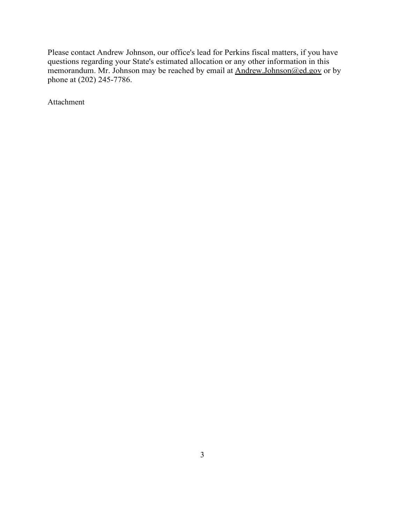Please contact Andrew Johnson, our office's lead for Perkins fiscal matters, if you have questions regarding your State's estimated allocation or any other information in this memorandum. Mr. Johnson may be reached by email at **Andrew.Johnson@ed.gov** or by phone at (202) 245-7786.

Attachment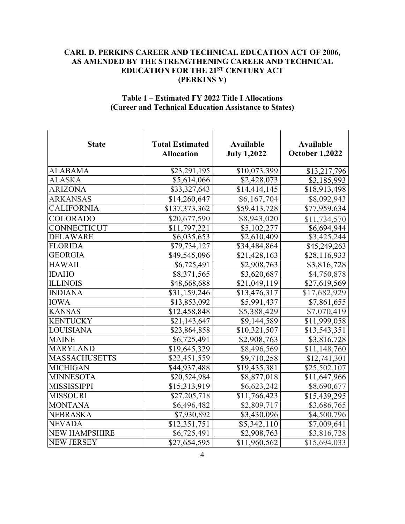## **CARL D. PERKINS CAREER AND TECHNICAL EDUCATION ACT OF 2006, AS AMENDED BY THE STRENGTHENING CAREER AND TECHNICAL EDUCATION FOR THE 21ST CENTURY ACT (PERKINS V)**

## **Table 1 – Estimated FY 2022 Title I Allocations (Career and Technical Education Assistance to States)**

| <b>State</b>         | <b>Total Estimated</b><br><b>Allocation</b> | <b>Available</b><br><b>July 1,2022</b> | <b>Available</b><br><b>October 1,2022</b> |
|----------------------|---------------------------------------------|----------------------------------------|-------------------------------------------|
| <b>ALABAMA</b>       | \$23,291,195                                | \$10,073,399                           | \$13,217,796                              |
| <b>ALASKA</b>        | \$5,614,066                                 | \$2,428,073                            | \$3,185,993                               |
| <b>ARIZONA</b>       | \$33,327,643                                | $\overline{$}14,414,145$               | \$18,913,498                              |
| <b>ARKANSAS</b>      | \$14,260,647                                | \$6,167,704                            | \$8,092,943                               |
| <b>CALIFORNIA</b>    | \$137,373,362                               | \$59,413,728                           | \$77,959,634                              |
| COLORADO             | \$20,677,590                                | \$8,943,020                            | \$11,734,570                              |
| CONNECTICUT          | \$11,797,221                                | \$5,102,277                            | \$6,694,944                               |
| <b>DELAWARE</b>      | \$6,035,653                                 | \$2,610,409                            | \$3,425,244                               |
| <b>FLORIDA</b>       | \$79,734,127                                | \$34,484,864                           | \$45,249,263                              |
| <b>GEORGIA</b>       | \$49,545,096                                | \$21,428,163                           | \$28,116,933                              |
| <b>HAWAII</b>        | \$6,725,491                                 | \$2,908,763                            | \$3,816,728                               |
| <b>IDAHO</b>         | \$8,371,565                                 | \$3,620,687                            | \$4,750,878                               |
| <b>ILLINOIS</b>      | \$48,668,688                                | \$21,049,119                           | \$27,619,569                              |
| <b>INDIANA</b>       | \$31,159,246                                | \$13,476,317                           | \$17,682,929                              |
| <b>IOWA</b>          | \$13,853,092                                | $\overline{$}5,991,437$                | \$7,861,655                               |
| <b>KANSAS</b>        | \$12,458,848                                | \$5,388,429                            | \$7,070,419                               |
| <b>KENTUCKY</b>      | \$21,143,647                                | \$9,144,589                            | \$11,999,058                              |
| <b>LOUISIANA</b>     | \$23,864,858                                | \$10,321,507                           | \$13,543,351                              |
| <b>MAINE</b>         | $\overline{86,725,491}$                     | \$2,908,763                            | \$3,816,728                               |
| <b>MARYLAND</b>      | \$19,645,329                                | \$8,496,569                            | \$11,148,760                              |
| <b>MASSACHUSETTS</b> | \$22,451,559                                | \$9,710,258                            | \$12,741,301                              |
| <b>MICHIGAN</b>      | \$44,937,488                                | \$19,435,381                           | \$25,502,107                              |
| <b>MINNESOTA</b>     | \$20,524,984                                | \$8,877,018                            | \$11,647,966                              |
| <b>MISSISSIPPI</b>   | \$15,313,919                                | \$6,623,242                            | \$8,690,677                               |
| <b>MISSOURI</b>      | \$27,205,718                                | \$11,766,423                           | \$15,439,295                              |
| <b>MONTANA</b>       | \$6,496,482                                 | \$2,809,717                            | \$3,686,765                               |
| <b>NEBRASKA</b>      | \$7,930,892                                 | \$3,430,096                            | \$4,500,796                               |
| <b>NEVADA</b>        | \$12,351,751                                | \$5,342,110                            | \$7,009,641                               |
| <b>NEW HAMPSHIRE</b> | \$6,725,491                                 | \$2,908,763                            | \$3,816,728                               |
| <b>NEW JERSEY</b>    | \$27,654,595                                | \$11,960,562                           | \$15,694,033                              |